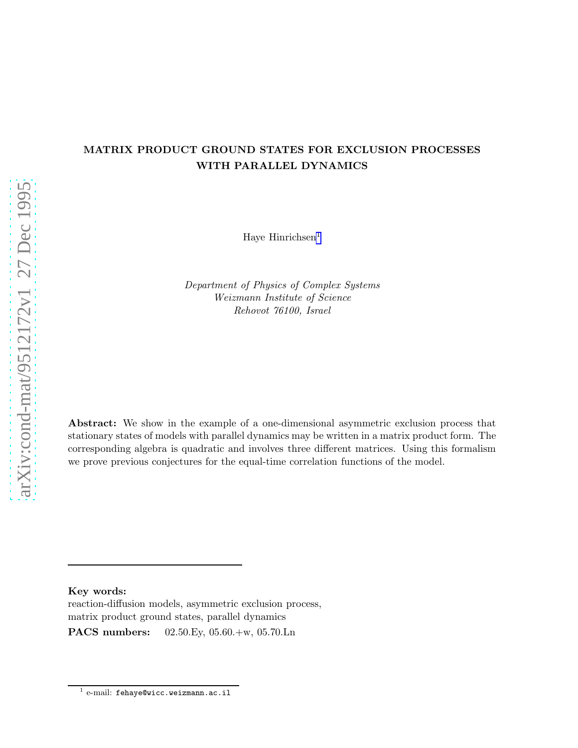## MATRIX PRODUCT GROUND STATES FOR EXCLUSION PROCESSES WITH PARALLEL DYNAMICS

Haye Hinrichsen<sup>1</sup>

Department of Physics of Complex Systems Weizmann Institute of Science Rehovot 76100, Israel

Abstract: We show in the example of a one-dimensional asymmetric exclusion process that stationary states of models with parallel dynamics may be written in a matrix product form. The corresponding algebra is quadratic and involves three different matrices. Using this formalism we prove previous conjectures for the equal-time correlation functions of the model.

Key words:

reaction-diffusion models, asymmetric exclusion process, matrix product ground states, parallel dynamics PACS numbers: 02.50.Ey, 05.60.+w, 05.70.Ln

 $^1$  e-mail: fehaye@wicc.weizmann.ac.il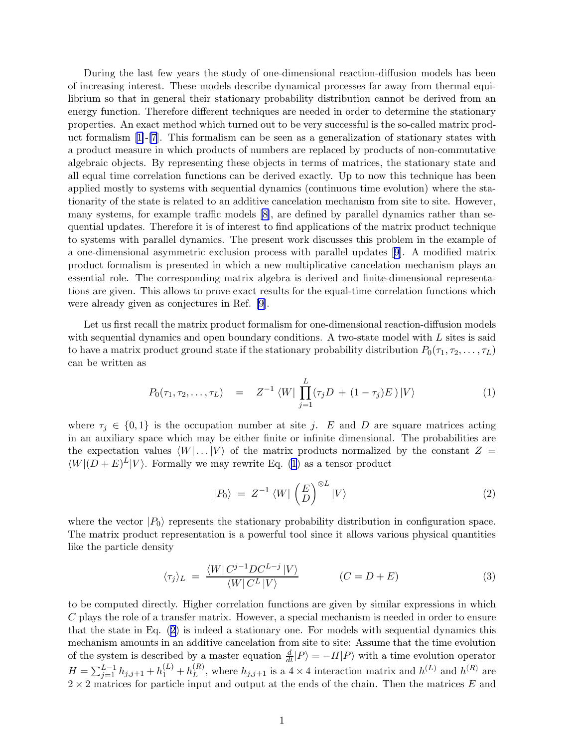<span id="page-1-0"></span>During the last few years the study of one-dimensional reaction-diffusion models has been of increasing interest. These models describe dynamical processes far away from thermal equilibrium so that in general their stationary probability distribution cannot be derived from an energy function. Therefore different techniques are needed in order to determine the stationary properties. An exact method which turned out to be very successful is the so-called matrix product formalism  $[1]-[7]$  $[1]-[7]$ . This formalism can be seen as a generalization of stationary states with a product measure in which products of numbers are replaced by products of non-commutative algebraic objects. By representing these objects in terms of matrices, the stationary state and all equal time correlation functions can be derived exactly. Up to now this technique has been applied mostly to systems with sequential dynamics (continuous time evolution) where the stationarity of the state is related to an additive cancelation mechanism from site to site. However, many systems, for example traffic models [\[8\]](#page-7-0), are defined by parallel dynamics rather than sequential updates. Therefore it is of interest to find applications of the matrix product technique to systems with parallel dynamics. The present work discusses this problem in the example of a one-dimensional asymmetric exclusion process with parallel updates[[9](#page-7-0)]. A modified matrix product formalism is presented in which a new multiplicative cancelation mechanism plays an essential role. The corresponding matrix algebra is derived and finite-dimensional representations are given. This allows to prove exact results for the equal-time correlation functions which were already given as conjectures in Ref. [\[9\]](#page-7-0).

Let us first recall the matrix product formalism for one-dimensional reaction-diffusion models with sequential dynamics and open boundary conditions. A two-state model with L sites is said to have a matrix product ground state if the stationary probability distribution  $P_0(\tau_1, \tau_2, \ldots, \tau_L)$ can be written as

$$
P_0(\tau_1, \tau_2, \dots, \tau_L) = Z^{-1} \langle W | \prod_{j=1}^L (\tau_j D + (1 - \tau_j) E) | V \rangle \tag{1}
$$

where  $\tau_j \in \{0,1\}$  is the occupation number at site j. E and D are square matrices acting in an auxiliary space which may be either finite or infinite dimensional. The probabilities are the expectation values  $\langle W | \dots | V \rangle$  of the matrix products normalized by the constant  $Z =$  $\langle W|(D+E)^L|V\rangle$ . Formally we may rewrite Eq. (1) as a tensor product

$$
|P_0\rangle = Z^{-1} \langle W | \left(\frac{E}{D}\right)^{\otimes L} |V\rangle \tag{2}
$$

where the vector  $|P_0\rangle$  represents the stationary probability distribution in configuration space. The matrix product representation is a powerful tool since it allows various physical quantities like the particle density

$$
\langle \tau_j \rangle_L = \frac{\langle W | C^{j-1} D C^{L-j} | V \rangle}{\langle W | C^L | V \rangle} \qquad (C = D + E) \tag{3}
$$

to be computed directly. Higher correlation functions are given by similar expressions in which C plays the role of a transfer matrix. However, a special mechanism is needed in order to ensure that the state in Eq. (2) is indeed a stationary one. For models with sequential dynamics this mechanism amounts in an additive cancelation from site to site: Assume that the time evolution of the system is described by a master equation  $\frac{d}{dt}|P\rangle = -H|P\rangle$  with a time evolution operator  $H = \sum_{j=1}^{L-1} h_{j,j+1} + h_1^{(L)} + h_L^{(R)}$  $L^{(R)}$ , where  $h_{j,j+1}$  is a 4 × 4 interaction matrix and  $h^{(L)}$  and  $h^{(R)}$  are  $2 \times 2$  matrices for particle input and output at the ends of the chain. Then the matrices E and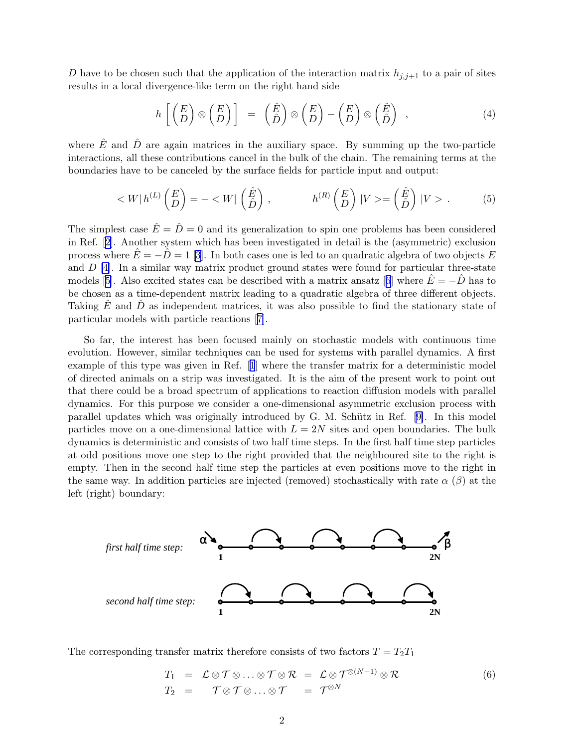<span id="page-2-0"></span>D have to be chosen such that the application of the interaction matrix  $h_{j,j+1}$  to a pair of sites results in a local divergence-like term on the right hand side

$$
h\left[\begin{pmatrix} E \\ D \end{pmatrix} \otimes \begin{pmatrix} E \\ D \end{pmatrix}\right] = \begin{pmatrix} \hat{E} \\ \hat{D} \end{pmatrix} \otimes \begin{pmatrix} E \\ D \end{pmatrix} - \begin{pmatrix} E \\ D \end{pmatrix} \otimes \begin{pmatrix} \hat{E} \\ \hat{D} \end{pmatrix} , \tag{4}
$$

where  $\hat{E}$  and  $\hat{D}$  are again matrices in the auxiliary space. By summing up the two-particle interactions, all these contributions cancel in the bulk of the chain. The remaining terms at the boundaries have to be canceled by the surface fields for particle input and output:

$$
\langle W|h^{(L)}\begin{pmatrix} E \\ D \end{pmatrix} = -\langle W|\begin{pmatrix} \hat{E} \\ \hat{D} \end{pmatrix}, \qquad h^{(R)}\begin{pmatrix} E \\ D \end{pmatrix} |V\rangle = \begin{pmatrix} \hat{E} \\ \hat{D} \end{pmatrix} |V\rangle. \tag{5}
$$

The simplest case  $\hat{E} = \hat{D} = 0$  and its generalization to spin one problems has been considered in Ref.[[2](#page-7-0)]. Another system which has been investigated in detail is the (asymmetric) exclusion process where  $\hat{E} = -\hat{D} = 1$  [\[3\]](#page-7-0). In both cases one is led to an quadratic algebra of two objects E and  $D \left[4\right]$ . In a similar way matrix product ground states were found for particular three-state models[[5\]](#page-7-0). Also excited states can be described with a matrix ansatz [[6](#page-7-0)] where  $\hat{E} = -\hat{D}$  has to be chosen as a time-dependent matrix leading to a quadratic algebra of three different objects. Taking  $\hat{E}$  and  $\hat{D}$  as independent matrices, it was also possible to find the stationary state of particular models with particle reactions[[7](#page-7-0)].

So far, the interest has been focused mainly on stochastic models with continuous time evolution. However, similar techniques can be used for systems with parallel dynamics. A first example of this type was given in Ref.[[1](#page-7-0)] where the transfer matrix for a deterministic model of directed animals on a strip was investigated. It is the aim of the present work to point out that there could be a broad spectrum of applications to reaction diffusion models with parallel dynamics. For this purpose we consider a one-dimensional asymmetric exclusion process with parallel updates which was originally introduced by G. M. Schütz in Ref.  $[9]$ . In this model particles move on a one-dimensional lattice with  $L = 2N$  sites and open boundaries. The bulk dynamics is deterministic and consists of two half time steps. In the first half time step particles at odd positions move one step to the right provided that the neighboured site to the right is empty. Then in the second half time step the particles at even positions move to the right in the same way. In addition particles are injected (removed) stochastically with rate  $\alpha$  ( $\beta$ ) at the left (right) boundary:



The corresponding transfer matrix therefore consists of two factors  $T = T_2T_1$ 

$$
T_1 = \mathcal{L} \otimes \mathcal{T} \otimes \ldots \otimes \mathcal{T} \otimes \mathcal{R} = \mathcal{L} \otimes \mathcal{T}^{\otimes (N-1)} \otimes \mathcal{R}
$$
  
\n
$$
T_2 = \mathcal{T} \otimes \mathcal{T} \otimes \ldots \otimes \mathcal{T} = \mathcal{T}^{\otimes N}
$$
\n(6)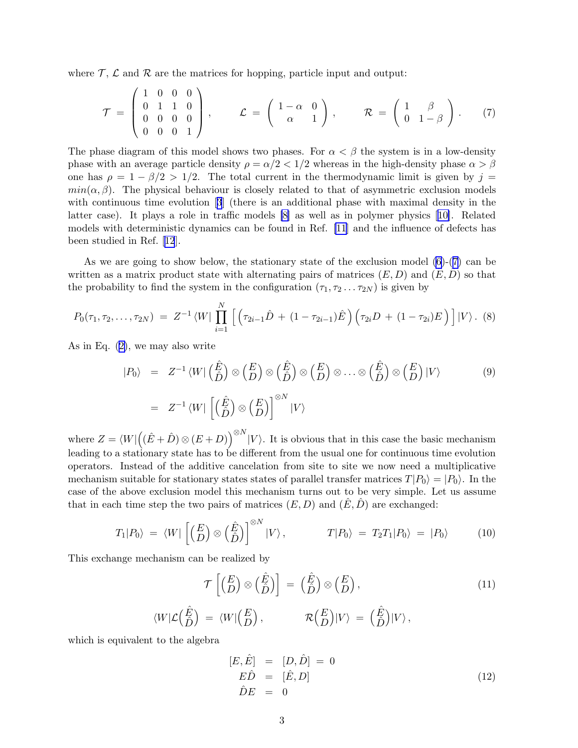<span id="page-3-0"></span>where  $\mathcal{T}$ ,  $\mathcal{L}$  and  $\mathcal{R}$  are the matrices for hopping, particle input and output:

$$
\mathcal{T} = \begin{pmatrix} 1 & 0 & 0 & 0 \\ 0 & 1 & 1 & 0 \\ 0 & 0 & 0 & 0 \\ 0 & 0 & 0 & 1 \end{pmatrix}, \qquad \mathcal{L} = \begin{pmatrix} 1 - \alpha & 0 \\ \alpha & 1 \end{pmatrix}, \qquad \mathcal{R} = \begin{pmatrix} 1 & \beta \\ 0 & 1 - \beta \end{pmatrix}. \tag{7}
$$

The phase diagram of this model shows two phases. For  $\alpha < \beta$  the system is in a low-density phase with an average particle density  $\rho = \alpha/2 < 1/2$  whereas in the high-density phase  $\alpha > \beta$ one has  $\rho = 1 - \beta/2 > 1/2$ . The total current in the thermodynamic limit is given by  $j =$  $min(\alpha, \beta)$ . The physical behaviour is closely related to that of asymmetric exclusion models with continuous time evolution[[3](#page-7-0)] (there is an additional phase with maximal density in the latter case). It plays a role in traffic models [\[8\]](#page-7-0) as well as in polymer physics[[10\]](#page-7-0). Related models with deterministic dynamics can be found in Ref. [\[11](#page-7-0)] and the influence of defects has been studied in Ref.[[12](#page-7-0)].

As we are going to show below, the stationary state of the exclusion model  $(6)-(7)$  can be written as a matrix product state with alternating pairs of matrices  $(E, D)$  and  $(\tilde{E}, \tilde{D})$  so that the probability to find the system in the configuration  $(\tau_1, \tau_2 \ldots \tau_{2N})$  is given by

$$
P_0(\tau_1, \tau_2, \ldots, \tau_{2N}) = Z^{-1} \langle W | \prod_{i=1}^N \left[ \left( \tau_{2i-1} \hat{D} + (1 - \tau_{2i-1}) \hat{E} \right) \left( \tau_{2i} D + (1 - \tau_{2i}) E \right) \right] | V \rangle. \tag{8}
$$

As in Eq. [\(2\)](#page-1-0), we may also write

$$
|P_0\rangle = Z^{-1} \langle W | \begin{pmatrix} \hat{E} \\ \hat{D} \end{pmatrix} \otimes \begin{pmatrix} E \\ D \end{pmatrix} \otimes \begin{pmatrix} \hat{E} \\ \hat{D} \end{pmatrix} \otimes \begin{pmatrix} E \\ D \end{pmatrix} \otimes \dots \otimes \begin{pmatrix} \hat{E} \\ \hat{D} \end{pmatrix} \otimes \begin{pmatrix} E \\ D \end{pmatrix} |V\rangle
$$
(9)  
=  $Z^{-1} \langle W | \begin{pmatrix} \hat{E} \\ \hat{D} \end{pmatrix} \otimes \begin{pmatrix} E \\ D \end{pmatrix} \Big| {}^{0N} |V\rangle$ 

where  $Z = \langle W | ((\hat{E} + \hat{D}) \otimes (E + D))^{\otimes N} | V \rangle$ . It is obvious that in this case the basic mechanism leading to a stationary state has to be different from the usual one for continuous time evolution operators. Instead of the additive cancelation from site to site we now need a multiplicative mechanism suitable for stationary states states of parallel transfer matrices  $T|P_0\rangle = |P_0\rangle$ . In the case of the above exclusion model this mechanism turns out to be very simple. Let us assume that in each time step the two pairs of matrices  $(E, D)$  and  $(\hat{E}, \hat{D})$  are exchanged:

$$
T_1|P_0\rangle = \langle W| \left[ \begin{pmatrix} E \\ D \end{pmatrix} \otimes \begin{pmatrix} \hat{E} \\ \hat{D} \end{pmatrix} \right]^{\otimes N} |V\rangle, \qquad T|P_0\rangle = T_2T_1|P_0\rangle = |P_0\rangle \qquad (10)
$$

This exchange mechanism can be realized by

$$
\mathcal{T}\left[\begin{pmatrix} E \\ D \end{pmatrix} \otimes \begin{pmatrix} \hat{E} \\ \hat{D} \end{pmatrix}\right] = \begin{pmatrix} \hat{E} \\ \hat{D} \end{pmatrix} \otimes \begin{pmatrix} E \\ D \end{pmatrix},
$$
\n
$$
\langle W | \mathcal{L} \begin{pmatrix} \hat{E} \\ \hat{D} \end{pmatrix} = \langle W | \begin{pmatrix} E \\ D \end{pmatrix},
$$
\n
$$
\mathcal{R}\begin{pmatrix} E \\ D \end{pmatrix} |V\rangle = \begin{pmatrix} \hat{E} \\ \hat{D} \end{pmatrix} |V\rangle,
$$
\n(11)

which is equivalent to the algebra

$$
[E, \hat{E}] = [D, \hat{D}] = 0
$$
  
\n
$$
E\hat{D} = [\hat{E}, D]
$$
  
\n
$$
\hat{D}E = 0
$$
\n(12)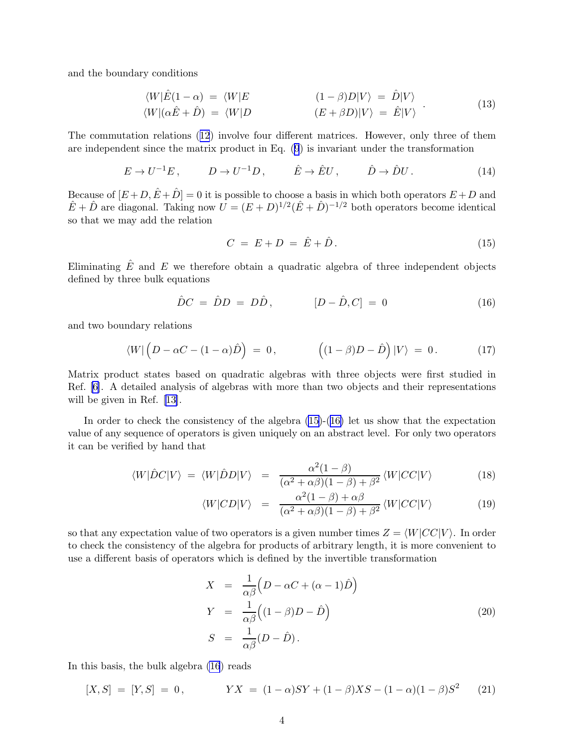<span id="page-4-0"></span>and the boundary conditions

$$
\langle W|\hat{E}(1-\alpha) = \langle W|E \qquad (1-\beta)D|V\rangle = \hat{D}|V\rangle
$$
  

$$
\langle W|(\alpha \hat{E} + \hat{D}) = \langle W|D \qquad (E + \beta D)|V\rangle = \hat{E}|V\rangle
$$
 (13)

The commutation relations([12](#page-3-0)) involve four different matrices. However, only three of them are independent since the matrix product in Eq. [\(9](#page-3-0)) is invariant under the transformation

$$
E \to U^{-1}E, \qquad D \to U^{-1}D, \qquad \hat{E} \to \hat{E}U, \qquad \hat{D} \to \hat{D}U. \tag{14}
$$

Because of  $[E+D, \hat{E}+\hat{D}] = 0$  it is possible to choose a basis in which both operators  $E+D$  and  $\hat{E} + \hat{D}$  are diagonal. Taking now  $U = (E+D)^{1/2}(\hat{E}+\hat{D})^{-1/2}$  both operators become identical so that we may add the relation

$$
C = E + D = \hat{E} + \hat{D}.
$$
\n
$$
(15)
$$

Eliminating  $\hat{E}$  and  $E$  we therefore obtain a quadratic algebra of three independent objects defined by three bulk equations

$$
\hat{D}C = \hat{D}D = D\hat{D}, \qquad [D - \hat{D}, C] = 0 \qquad (16)
$$

and two boundary relations

$$
\langle W | \left( D - \alpha C - (1 - \alpha) \hat{D} \right) = 0, \qquad \left( (1 - \beta) D - \hat{D} \right) | V \rangle = 0. \qquad (17)
$$

Matrix product states based on quadratic algebras with three objects were first studied in Ref. [\[6\]](#page-7-0). A detailed analysis of algebras with more than two objects and their representations will be given in Ref.[[13\]](#page-7-0).

In order to check the consistency of the algebra (15)-(16) let us show that the expectation value of any sequence of operators is given uniquely on an abstract level. For only two operators it can be verified by hand that

$$
\langle W|\hat{D}C|V\rangle = \langle W|\hat{D}D|V\rangle = \frac{\alpha^2(1-\beta)}{(\alpha^2+\alpha\beta)(1-\beta)+\beta^2} \langle W|CC|V\rangle \tag{18}
$$

$$
\langle W|CD|V\rangle = \frac{\alpha^2(1-\beta) + \alpha\beta}{(\alpha^2 + \alpha\beta)(1-\beta) + \beta^2} \langle W|CC|V\rangle \tag{19}
$$

so that any expectation value of two operators is a given number times  $Z = \langle W|CC|V\rangle$ . In order to check the consistency of the algebra for products of arbitrary length, it is more convenient to use a different basis of operators which is defined by the invertible transformation

$$
X = \frac{1}{\alpha \beta} \left( D - \alpha C + (\alpha - 1) \hat{D} \right)
$$
  
\n
$$
Y = \frac{1}{\alpha \beta} \left( (1 - \beta) D - \hat{D} \right)
$$
  
\n
$$
S = \frac{1}{\alpha \beta} (D - \hat{D}).
$$
\n(20)

In this basis, the bulk algebra (16) reads

$$
[X, S] = [Y, S] = 0, \qquad YX = (1 - \alpha)SY + (1 - \beta)XS - (1 - \alpha)(1 - \beta)S^2 \qquad (21)
$$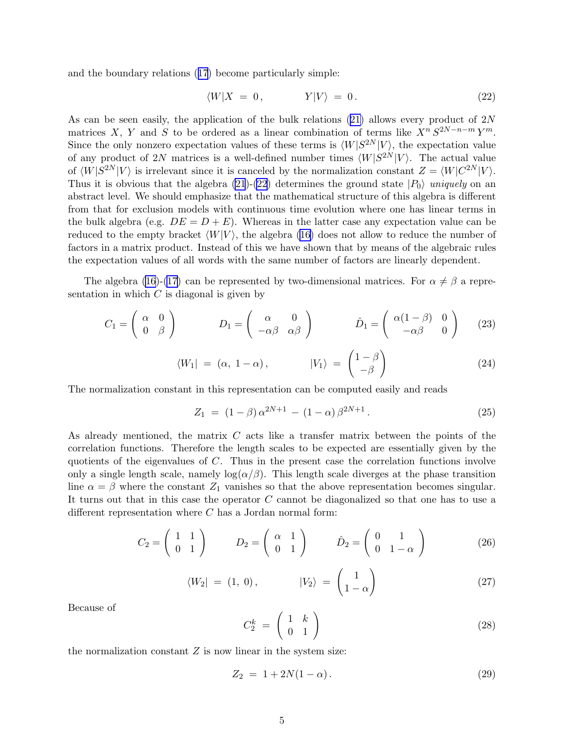<span id="page-5-0"></span>and the boundary relations([17](#page-4-0)) become particularly simple:

$$
\langle W|X = 0, \qquad Y|V\rangle = 0. \tag{22}
$$

As can be seen easily, the application of the bulk relations  $(21)$  allows every product of  $2N$ matrices X, Y and S to be ordered as a linear combination of terms like  $X^n S^{2N-n-m} Y^m$ . Since the only nonzero expectation values of these terms is  $\langle W|S^{2N}|V\rangle$ , the expectation value of any product of 2N matrices is a well-defined number times  $\langle W|S^{2N}|V\rangle$ . The actual value of  $\langle W|S^{2N}|V\rangle$  is irrelevant since it is canceled by the normalization constant  $Z = \langle W|C^{2N}|V\rangle$ . Thus it is obvious that the algebra [\(21](#page-4-0))-(22) determines the ground state  $|P_0\rangle$  uniquely on an abstract level. We should emphasize that the mathematical structure of this algebra is different from that for exclusion models with continuous time evolution where one has linear terms in the bulk algebra (e.g.  $DE = D + E$ ). Whereas in the latter case any expectation value can be reduced to the empty bracket  $\langle W|V \rangle$ , the algebra [\(16\)](#page-4-0) does not allow to reduce the number of factors in a matrix product. Instead of this we have shown that by means of the algebraic rules the expectation values of all words with the same number of factors are linearly dependent.

The algebra [\(16](#page-4-0))-[\(17\)](#page-4-0) can be represented by two-dimensional matrices. For  $\alpha \neq \beta$  a representation in which  $C$  is diagonal is given by

$$
C_1 = \begin{pmatrix} \alpha & 0 \\ 0 & \beta \end{pmatrix} \qquad D_1 = \begin{pmatrix} \alpha & 0 \\ -\alpha\beta & \alpha\beta \end{pmatrix} \qquad \hat{D}_1 = \begin{pmatrix} \alpha(1-\beta) & 0 \\ -\alpha\beta & 0 \end{pmatrix} \qquad (23)
$$

$$
\langle W_1 | = (\alpha, 1 - \alpha), \qquad |V_1\rangle = \begin{pmatrix} 1 - \beta \\ -\beta \end{pmatrix} \tag{24}
$$

The normalization constant in this representation can be computed easily and reads

$$
Z_1 = (1 - \beta) \alpha^{2N+1} - (1 - \alpha) \beta^{2N+1}.
$$
 (25)

As already mentioned, the matrix C acts like a transfer matrix between the points of the correlation functions. Therefore the length scales to be expected are essentially given by the quotients of the eigenvalues of  $C$ . Thus in the present case the correlation functions involve only a single length scale, namely  $log(\alpha/\beta)$ . This length scale diverges at the phase transition line  $\alpha = \beta$  where the constant  $Z_1$  vanishes so that the above representation becomes singular. It turns out that in this case the operator C cannot be diagonalized so that one has to use a different representation where  $C$  has a Jordan normal form:

$$
C_2 = \begin{pmatrix} 1 & 1 \\ 0 & 1 \end{pmatrix} \qquad D_2 = \begin{pmatrix} \alpha & 1 \\ 0 & 1 \end{pmatrix} \qquad \hat{D}_2 = \begin{pmatrix} 0 & 1 \\ 0 & 1 - \alpha \end{pmatrix} \tag{26}
$$

$$
\langle W_2 | = (1, 0), \qquad |V_2\rangle = \begin{pmatrix} 1 \\ 1 - \alpha \end{pmatrix} \tag{27}
$$

Because of

$$
C_2^k = \left(\begin{array}{cc} 1 & k \\ 0 & 1 \end{array}\right) \tag{28}
$$

the normalization constant  $Z$  is now linear in the system size:

$$
Z_2 = 1 + 2N(1 - \alpha). \tag{29}
$$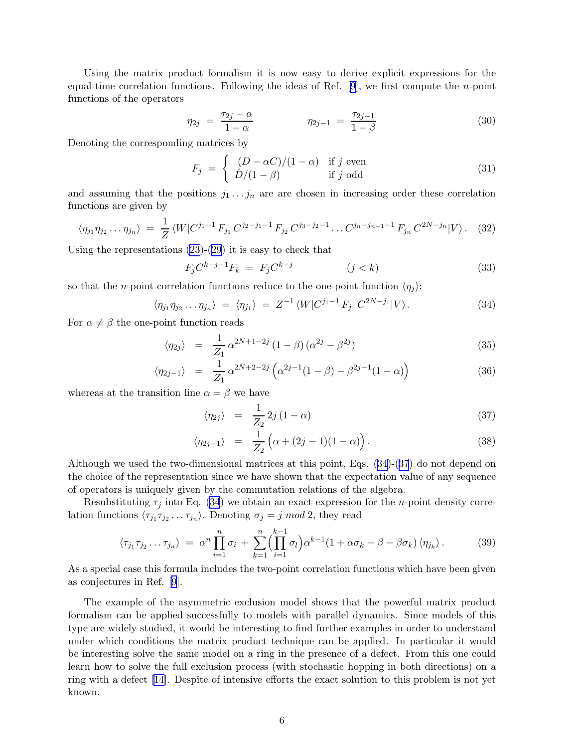Using the matrix product formalism it is now easy to derive explicit expressions for the equal-time correlation functions. Following the ideas of Ref. [\[9\]](#page-7-0), we first compute the n-point functions of the operators

$$
\eta_{2j} = \frac{\tau_{2j} - \alpha}{1 - \alpha} \qquad \eta_{2j-1} = \frac{\tau_{2j-1}}{1 - \beta} \tag{30}
$$

Denoting the corresponding matrices by

$$
F_j = \begin{cases} (D - \alpha C)/(1 - \alpha) & \text{if } j \text{ even} \\ \hat{D}/(1 - \beta) & \text{if } j \text{ odd} \end{cases}
$$
(31)

and assuming that the positions  $j_1 \ldots j_n$  are are chosen in increasing order these correlation functions are given by

$$
\langle \eta_{j1} \eta_{j2} \dots \eta_{jn} \rangle = \frac{1}{Z} \langle W | C^{j_1 - 1} F_{j_1} C^{j_2 - j_1 - 1} F_{j_2} C^{j_3 - j_2 - 1} \dots C^{j_n - j_{n-1} - 1} F_{j_n} C^{2N - j_n} | V \rangle. \tag{32}
$$

Using the representations [\(23](#page-5-0))-[\(29\)](#page-5-0) it is easy to check that

$$
F_j C^{k-j-1} F_k = F_j C^{k-j} \qquad (j < k) \tag{33}
$$

so that the *n*-point correlation functions reduce to the one-point function  $\langle \eta_i \rangle$ :

$$
\langle \eta_{j_1} \eta_{j_2} \dots \eta_{j_n} \rangle = \langle \eta_{j_1} \rangle = Z^{-1} \langle W | C^{j_1 - 1} F_{j_1} C^{2N - j_1} | V \rangle. \tag{34}
$$

For  $\alpha \neq \beta$  the one-point function reads

$$
\langle \eta_{2j} \rangle = \frac{1}{Z_1} \alpha^{2N+1-2j} (1-\beta) (\alpha^{2j} - \beta^{2j})
$$
 (35)

$$
\langle \eta_{2j-1} \rangle = \frac{1}{Z_1} \alpha^{2N+2-2j} \left( \alpha^{2j-1} (1-\beta) - \beta^{2j-1} (1-\alpha) \right) \tag{36}
$$

whereas at the transition line  $\alpha = \beta$  we have

$$
\langle \eta_{2j} \rangle = \frac{1}{Z_2} 2j (1 - \alpha) \tag{37}
$$

$$
\langle \eta_{2j-1} \rangle = \frac{1}{Z_2} \left( \alpha + (2j-1)(1-\alpha) \right). \tag{38}
$$

Although we used the two-dimensional matrices at this point, Eqs. (34)-(37) do not depend on the choice of the representation since we have shown that the expectation value of any sequence of operators is uniquely given by the commutation relations of the algebra.

Resubstituting  $\tau_j$  into Eq. (34) we obtain an exact expression for the *n*-point density correlation functions  $\langle \tau_{j_1} \tau_{j_2} \dots \tau_{j_n} \rangle$ . Denoting  $\sigma_j = j \mod 2$ , they read

$$
\langle \tau_{j_1} \tau_{j_2} \dots \tau_{j_n} \rangle = \alpha^n \prod_{i=1}^n \sigma_i + \sum_{k=1}^n \left( \prod_{i=1}^{k-1} \sigma_i \right) \alpha^{k-1} (1 + \alpha \sigma_k - \beta - \beta \sigma_k) \langle \eta_{j_k} \rangle. \tag{39}
$$

As a special case this formula includes the two-point correlation functions which have been given as conjectures in Ref.[[9](#page-7-0)].

The example of the asymmetric exclusion model shows that the powerful matrix product formalism can be applied successfully to models with parallel dynamics. Since models of this type are widely studied, it would be interesting to find further examples in order to understand under which conditions the matrix product technique can be applied. In particular it would be interesting solve the same model on a ring in the presence of a defect. From this one could learn how to solve the full exclusion process (with stochastic hopping in both directions) on a ring with a defect [\[14\]](#page-7-0). Despite of intensive efforts the exact solution to this problem is not yet known.